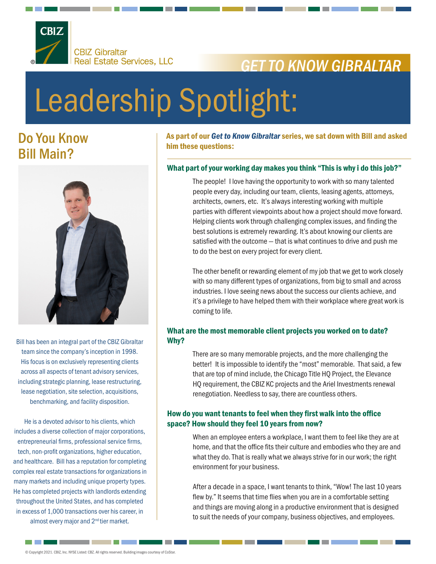

## *GET TO KNOW GIBRALTAR*

# Leadership Spotlight:

### Do You Know Bill Main?



Bill has been an integral part of the CBIZ Gibraltar team since the company's inception in 1998. His focus is on exclusively representing clients across all aspects of tenant advisory services, including strategic planning, lease restructuring, lease negotiation, site selection, acquisitions, benchmarking, and facility disposition.

He is a devoted advisor to his clients, which includes a diverse collection of major corporations, entrepreneurial firms, professional service firms, tech, non-profit organizations, higher education, and healthcare. Bill has a reputation for completing complex real estate transactions for organizations in many markets and including unique property types. He has completed projects with landlords extending throughout the United States, and has completed in excess of 1,000 transactions over his career, in almost every major and 2<sup>nd</sup> tier market.

As part of our *Get to Know Gibraltar* series, we sat down with Bill and asked him these questions:

#### What part of your working day makes you think "This is why i do this job?"

The people! I love having the opportunity to work with so many talented people every day, including our team, clients, leasing agents, attorneys, architects, owners, etc. It's always interesting working with multiple parties with different viewpoints about how a project should move forward. Helping clients work through challenging complex issues, and finding the best solutions is extremely rewarding. It's about knowing our clients are satisfied with the outcome — that is what continues to drive and push me to do the best on every project for every client.

The other benefit or rewarding element of my job that we get to work closely with so many different types of organizations, from big to small and across industries. I love seeing news about the success our clients achieve, and it's a privilege to have helped them with their workplace where great work is coming to life.

#### What are the most memorable client projects you worked on to date? Why?

There are so many memorable projects, and the more challenging the better! It is impossible to identify the "most" memorable. That said, a few that are top of mind include, the Chicago Title HQ Project, the Elevance HQ requirement, the CBIZ KC projects and the Ariel Investments renewal renegotiation. Needless to say, there are countless others.

#### How do you want tenants to feel when they first walk into the office space? How should they feel 10 years from now?

When an employee enters a workplace, I want them to feel like they are at home, and that the office fits their culture and embodies who they are and what they do. That is really what we always strive for in our work; the right environment for your business.

After a decade in a space, I want tenants to think, "Wow! The last 10 years flew by." It seems that time flies when you are in a comfortable setting and things are moving along in a productive environment that is designed to suit the needs of your company, business objectives, and employees.